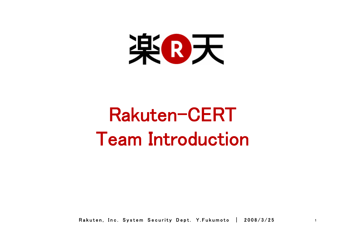

# Rakuten-CERTTeam Introduction

Rakuten, Inc. System Security Dept. Y.Fukumoto | 2008/3/25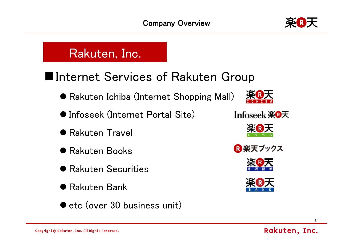

# Rakuten, Inc.

# ■Internet Services of Rakuten Group

- Rakuten Ichiba (Internet Shopping Mall)
- **Infoseek (Internet Portal Site)**
- **Rakuten Travel**
- **Rakuten Books**
- **Rakuten Securities**
- **Rakuten Bank**
- $\bullet$  etc (over 30 business unit)











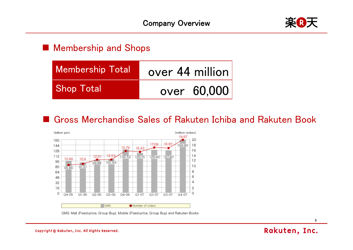

#### **Membership and Shops**

| <b>Membership Total</b> | over 44 million |
|-------------------------|-----------------|
| <b>Shop Total</b>       | over 60,000     |

### ■ Gross Merchandise Sales of Rakuten Ichiba and Rakuten Book



GMS: Mall (Fixed-price, Group Buy), Mobile (Fixed-price, Group Buy) and Rakuten Books

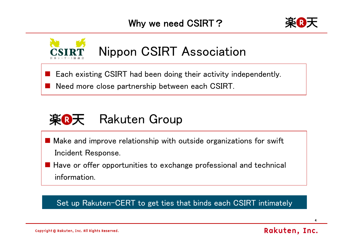



# Nippon CSIRT Association

- Each existing CSIRT had been doing their activity independently.
- $\frac{1}{2}$ Need more close partnership between each CSIRT.



- Make and improve relationship with outside organizations for swift Incident Response.
- Have or offer opportunities to exchange professional and technical information.

#### Set up Rakuten-CERT to get ties that binds each CSIRT intimately

Copyright © Rakuten, Inc. All Rights Reserved.

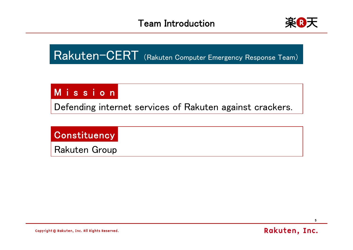

Rakuten-CERT (Rakuten Computer Emergency Response Team)

## Mission

Defending internet services of Rakuten against crackers.

### **Constituency**

Rakuten Group

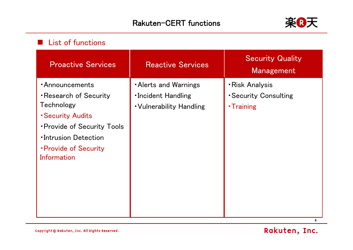

#### **List of functions**

| <b>Proactive Services</b>                                                                                                                                                                               | <b>Reactive Services</b>                                                           | <b>Security Quality</b><br><b>Management</b>                 |
|---------------------------------------------------------------------------------------------------------------------------------------------------------------------------------------------------------|------------------------------------------------------------------------------------|--------------------------------------------------------------|
| <b>Announcements</b><br>Research of Security<br>Technology<br><b>Security Audits</b><br><b>• Provide of Security Tools</b><br><b>Intrusion Detection</b><br><b>• Provide of Security</b><br>Information | <b>Alerts and Warnings</b><br><b>Incident Handling</b><br>. Vulnerability Handling | <b>·Risk Analysis</b><br>• Security Consulting<br>• Training |

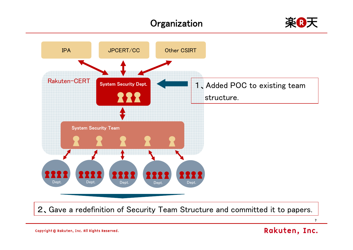### **Organization**





7

Copyright © Rakuten, Inc. All Rights Reserved.

#### Rakuten, Inc.